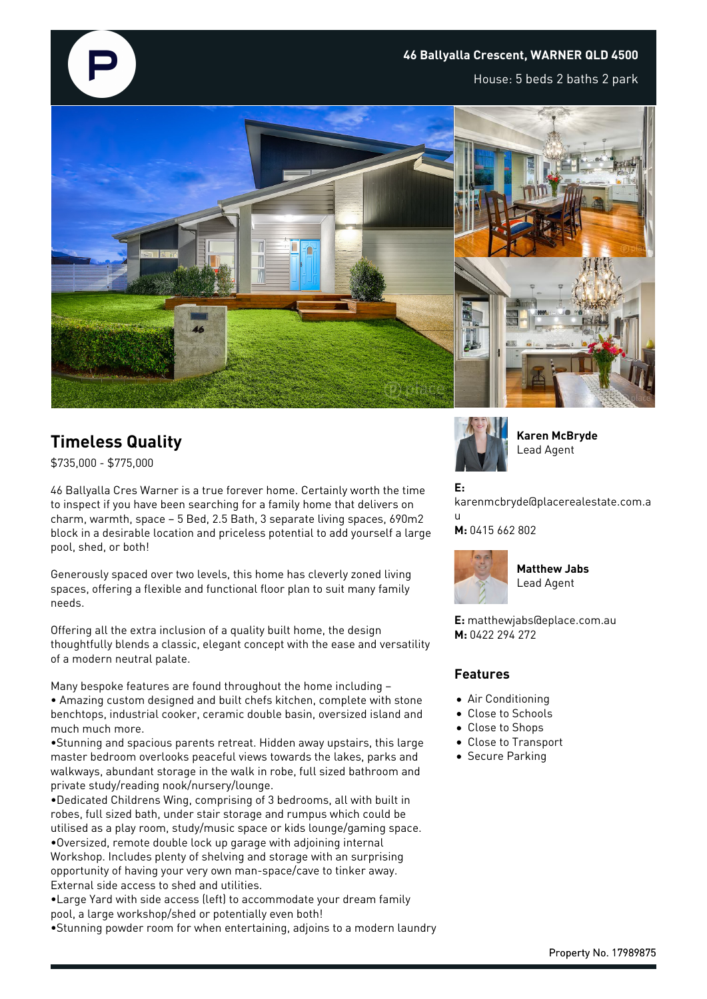

## **46 Ballyalla Crescent, WARNER QLD 4500**

House: 5 beds 2 baths 2 park



## **Timeless Quality**

\$735,000 - \$775,000

46 Ballyalla Cres Warner is a true forever home. Certainly worth the time to inspect if you have been searching for a family home that delivers on charm, warmth, space – 5 Bed, 2.5 Bath, 3 separate living spaces, 690m2 block in a desirable location and priceless potential to add yourself a large pool, shed, or both!

Generously spaced over two levels, this home has cleverly zoned living spaces, offering a flexible and functional floor plan to suit many family needs.

Offering all the extra inclusion of a quality built home, the design thoughtfully blends a classic, elegant concept with the ease and versatility of a modern neutral palate.

Many bespoke features are found throughout the home including – • Amazing custom designed and built chefs kitchen, complete with stone benchtops, industrial cooker, ceramic double basin, oversized island and much much more.

•Stunning and spacious parents retreat. Hidden away upstairs, this large master bedroom overlooks peaceful views towards the lakes, parks and walkways, abundant storage in the walk in robe, full sized bathroom and private study/reading nook/nursery/lounge.

•Dedicated Childrens Wing, comprising of 3 bedrooms, all with built in robes, full sized bath, under stair storage and rumpus which could be utilised as a play room, study/music space or kids lounge/gaming space. •Oversized, remote double lock up garage with adjoining internal Workshop. Includes plenty of shelving and storage with an surprising opportunity of having your very own man-space/cave to tinker away. External side access to shed and utilities.

•Large Yard with side access (left) to accommodate your dream family pool, a large workshop/shed or potentially even both!

•Stunning powder room for when entertaining, adjoins to a modern laundry



**Karen McBryde** Lead Agent

**E:**

karenmcbryde@placerealestate.com.a u

**M:** 0415 662 802



**Matthew Jabs** Lead Agent

**E:** matthewjabs@eplace.com.au **M:** 0422 294 272

## **Features**

- Air Conditioning
- Close to Schools
- Close to Shops
- Close to Transport
- Secure Parking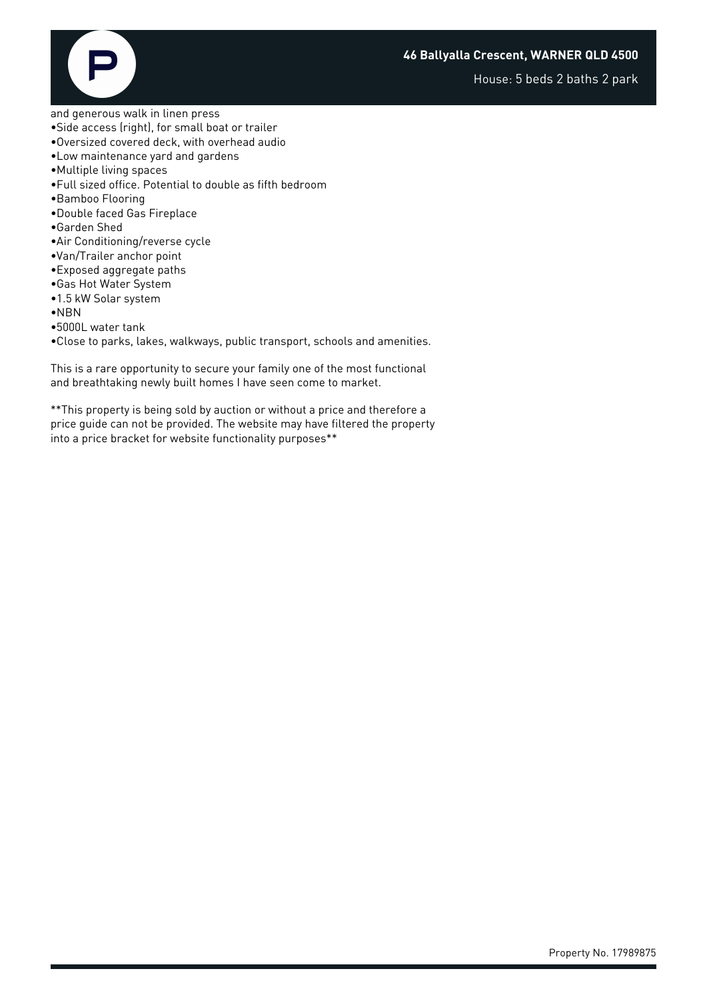House: 5 beds 2 baths 2 park



and generous walk in linen press

- •Side access (right), for small boat or trailer
- •Oversized covered deck, with overhead audio
- •Low maintenance yard and gardens
- •Multiple living spaces
- •Full sized office. Potential to double as fifth bedroom
- •Bamboo Flooring
- •Double faced Gas Fireplace
- •Garden Shed
- •Air Conditioning/reverse cycle
- •Van/Trailer anchor point
- •Exposed aggregate paths
- •Gas Hot Water System
- •1.5 kW Solar system
- •NBN
- •5000L water tank
- •Close to parks, lakes, walkways, public transport, schools and amenities.

This is a rare opportunity to secure your family one of the most functional and breathtaking newly built homes I have seen come to market.

\*\*This property is being sold by auction or without a price and therefore a price guide can not be provided. The website may have filtered the property into a price bracket for website functionality purposes\*\*